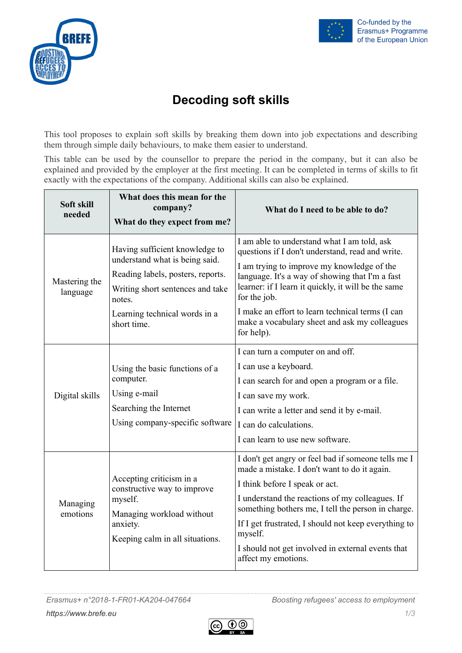



## **Decoding soft skills**

This tool proposes to explain soft skills by breaking them down into job expectations and describing them through simple daily behaviours, to make them easier to understand.

This table can be used by the counsellor to prepare the period in the company, but it can also be explained and provided by the employer at the first meeting. It can be completed in terms of skills to fit exactly with the expectations of the company. Additional skills can also be explained.

| Soft skill<br>needed      | What does this mean for the<br>company?<br>What do they expect from me?                                                                                                                             | What do I need to be able to do?                                                                                                                                                                                                                                                                                                                                                              |
|---------------------------|-----------------------------------------------------------------------------------------------------------------------------------------------------------------------------------------------------|-----------------------------------------------------------------------------------------------------------------------------------------------------------------------------------------------------------------------------------------------------------------------------------------------------------------------------------------------------------------------------------------------|
| Mastering the<br>language | Having sufficient knowledge to<br>understand what is being said.<br>Reading labels, posters, reports.<br>Writing short sentences and take<br>notes.<br>Learning technical words in a<br>short time. | I am able to understand what I am told, ask<br>questions if I don't understand, read and write.<br>I am trying to improve my knowledge of the<br>language. It's a way of showing that I'm a fast<br>learner: if I learn it quickly, it will be the same<br>for the job.<br>I make an effort to learn technical terms (I can<br>make a vocabulary sheet and ask my colleagues<br>for help).    |
| Digital skills            | Using the basic functions of a<br>computer.<br>Using e-mail<br>Searching the Internet<br>Using company-specific software                                                                            | I can turn a computer on and off.<br>I can use a keyboard.<br>I can search for and open a program or a file.<br>I can save my work.<br>I can write a letter and send it by e-mail.<br>I can do calculations.<br>I can learn to use new software.                                                                                                                                              |
| Managing<br>emotions      | Accepting criticism in a<br>constructive way to improve<br>myself.<br>Managing workload without<br>anxiety.<br>Keeping calm in all situations.                                                      | I don't get angry or feel bad if someone tells me I<br>made a mistake. I don't want to do it again.<br>I think before I speak or act.<br>I understand the reactions of my colleagues. If<br>something bothers me, I tell the person in charge.<br>If I get frustrated, I should not keep everything to<br>myself.<br>I should not get involved in external events that<br>affect my emotions. |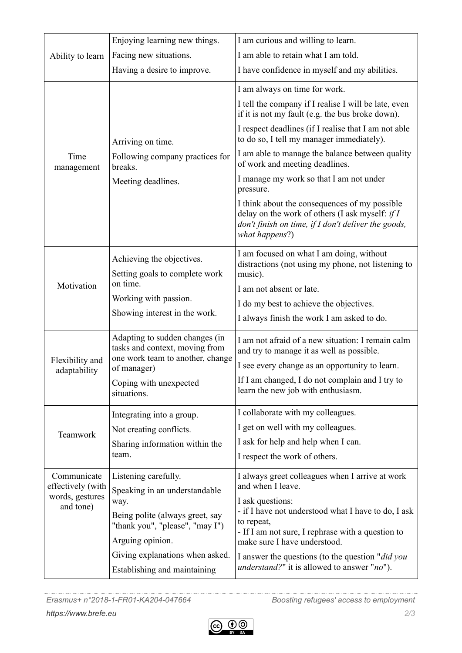|                                               | Enjoying learning new things.                                                                                       | I am curious and willing to learn.                                                                                                                                          |
|-----------------------------------------------|---------------------------------------------------------------------------------------------------------------------|-----------------------------------------------------------------------------------------------------------------------------------------------------------------------------|
| Ability to learn                              | Facing new situations.                                                                                              | I am able to retain what I am told.                                                                                                                                         |
|                                               | Having a desire to improve.                                                                                         | I have confidence in myself and my abilities.                                                                                                                               |
|                                               |                                                                                                                     | I am always on time for work.                                                                                                                                               |
|                                               |                                                                                                                     | I tell the company if I realise I will be late, even<br>if it is not my fault (e.g. the bus broke down).                                                                    |
|                                               | Arriving on time.                                                                                                   | I respect deadlines (if I realise that I am not able<br>to do so, I tell my manager immediately).                                                                           |
| Time<br>management                            | Following company practices for<br>breaks.                                                                          | I am able to manage the balance between quality<br>of work and meeting deadlines.                                                                                           |
|                                               | Meeting deadlines.                                                                                                  | I manage my work so that I am not under<br>pressure.                                                                                                                        |
| Motivation<br>Flexibility and<br>adaptability |                                                                                                                     | I think about the consequences of my possible<br>delay on the work of others (I ask myself: $if I$<br>don't finish on time, if I don't deliver the goods,<br>what happens?) |
|                                               | Achieving the objectives.                                                                                           | I am focused on what I am doing, without<br>distractions (not using my phone, not listening to                                                                              |
|                                               | Setting goals to complete work                                                                                      | music).                                                                                                                                                                     |
|                                               | on time.                                                                                                            | I am not absent or late.                                                                                                                                                    |
|                                               | Working with passion.                                                                                               | I do my best to achieve the objectives.                                                                                                                                     |
|                                               | Showing interest in the work.                                                                                       | I always finish the work I am asked to do.                                                                                                                                  |
|                                               | Adapting to sudden changes (in<br>tasks and context, moving from<br>one work team to another, change<br>of manager) | I am not afraid of a new situation: I remain calm<br>and try to manage it as well as possible.                                                                              |
|                                               |                                                                                                                     | I see every change as an opportunity to learn.                                                                                                                              |
|                                               | Coping with unexpected<br>situations.                                                                               | If I am changed, I do not complain and I try to<br>learn the new job with enthusiasm.                                                                                       |
|                                               | Integrating into a group.                                                                                           | I collaborate with my colleagues.                                                                                                                                           |
| Teamwork                                      | Not creating conflicts.                                                                                             | I get on well with my colleagues.                                                                                                                                           |
|                                               | Sharing information within the                                                                                      | I ask for help and help when I can.                                                                                                                                         |
|                                               | team.                                                                                                               | I respect the work of others.                                                                                                                                               |
| Communicate                                   | Listening carefully.                                                                                                | I always greet colleagues when I arrive at work                                                                                                                             |
| effectively (with<br>words, gestures          | Speaking in an understandable                                                                                       | and when I leave.                                                                                                                                                           |
| and tone)                                     | way.<br>Being polite (always greet, say                                                                             | I ask questions:<br>- if I have not understood what I have to do, I ask                                                                                                     |
|                                               | "thank you", "please", "may I")                                                                                     | to repeat,                                                                                                                                                                  |
|                                               | Arguing opinion.                                                                                                    | - If I am not sure, I rephrase with a question to<br>make sure I have understood.                                                                                           |
|                                               | Giving explanations when asked.                                                                                     | I answer the questions (to the question "did you                                                                                                                            |
|                                               | Establishing and maintaining                                                                                        | <i>understand?</i> " it is allowed to answer " <i>no</i> ").                                                                                                                |